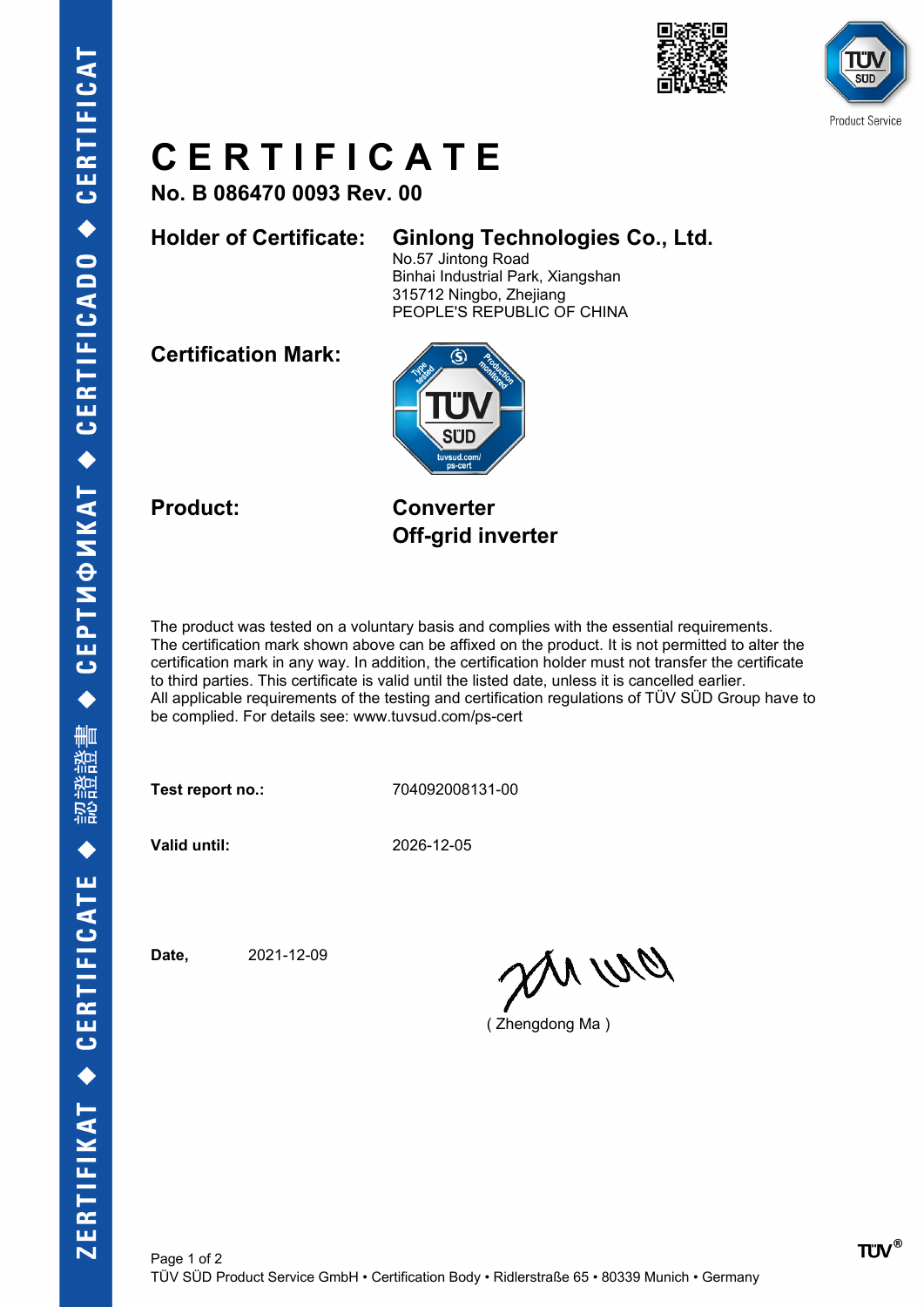



## **C E R T I F I C A T E**

**No. B 086470 0093 Rev. 00**

## **Holder of Certificate: Ginlong Technologies Co., Ltd.**

No.57 Jintong Road Binhai Industrial Park, Xiangshan 315712 Ningbo, Zhejiang PEOPLE'S REPUBLIC OF CHINA

**Certification Mark:**



**Product: Converter Off-grid inverter**

The product was tested on a voluntary basis and complies with the essential requirements. The certification mark shown above can be affixed on the product. It is not permitted to alter the certification mark in any way. In addition, the certification holder must not transfer the certificate to third parties. This certificate is valid until the listed date, unless it is cancelled earlier. All applicable requirements of the testing and certification regulations of TÜV SÜD Group have to be complied. For details see: www.tuvsud.com/ps-cert

**Test report no.:** 704092008131-00

**Valid until:** 2026-12-05

**Date,** 2021-12-09

an wa

( Zhengdong Ma )